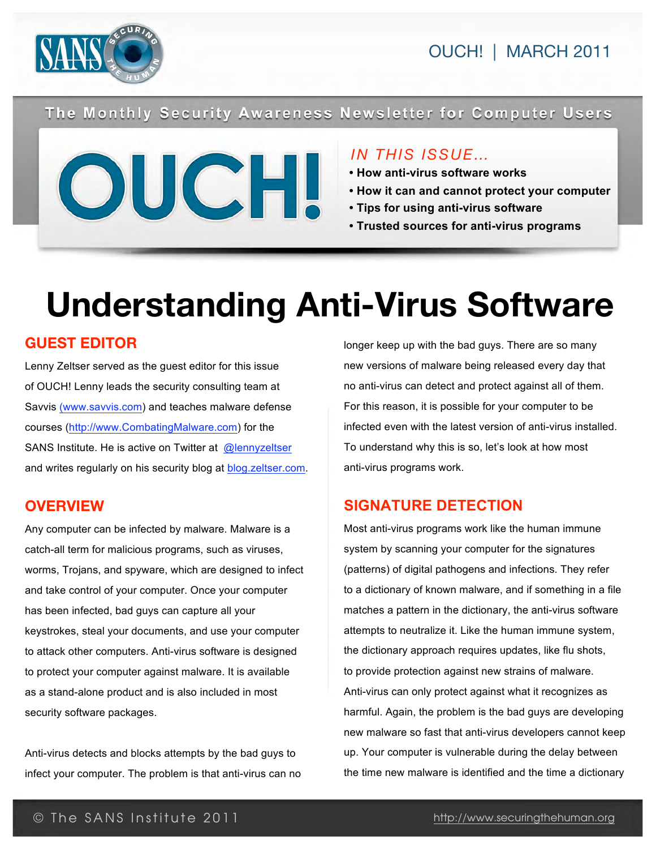



The Monthly Security Awareness Newsletter for Computer Users



# *IN THIS ISSUE…*

- **How anti-virus software works**
- **How it can and cannot protect your computer**
- **Tips for using anti-virus software**
- **Trusted sources for anti-virus programs**

# **Understanding Anti-Virus Software**

# **GUEST EDITOR**

Lenny Zeltser served as the guest editor for this issue of OUCH! Lenny leads the security consulting team at Savvis ([www.savvis.com\) an](http://www.savvis.com)d teaches malware defense courses [\(http://www.CombatingMalware.com\) fo](http://www.CombatingMalware.com)r the SANS Institute. He is active on Twitter at [@lennyzeltser](http://twitter.com/lennyzeltser) and writes regularly on his security blog at **<blog.zeltser.com>**.

# **OVERVIEW**

Any computer can be infected by malware. Malware is a catch-all term for malicious programs, such as viruses, worms, Trojans, and spyware, which are designed to infect and take control of your computer. Once your computer has been infected, bad guys can capture all your keystrokes, steal your documents, and use your computer to attack other computers. Anti-virus software is designed to protect your computer against malware. It is available as a stand-alone product and is also included in most security software packages.

Anti-virus detects and blocks attempts by the bad guys to infect your computer. The problem is that anti-virus can no longer keep up with the bad guys. There are so many new versions of malware being released every day that no anti-virus can detect and protect against all of them. For this reason, it is possible for your computer to be infected even with the latest version of anti-virus installed. To understand why this is so, let's look at how most anti-virus programs work.

# **SIGNATURE DETECTION**

Most anti-virus programs work like the human immune system by scanning your computer for the signatures (patterns) of digital pathogens and infections. They refer to a dictionary of known malware, and if something in a file matches a pattern in the dictionary, the anti-virus software attempts to neutralize it. Like the human immune system, the dictionary approach requires updates, like flu shots, to provide protection against new strains of malware. Anti-virus can only protect against what it recognizes as harmful. Again, the problem is the bad guys are developing new malware so fast that anti-virus developers cannot keep up. Your computer is vulnerable during the delay between the time new malware is identified and the time a dictionary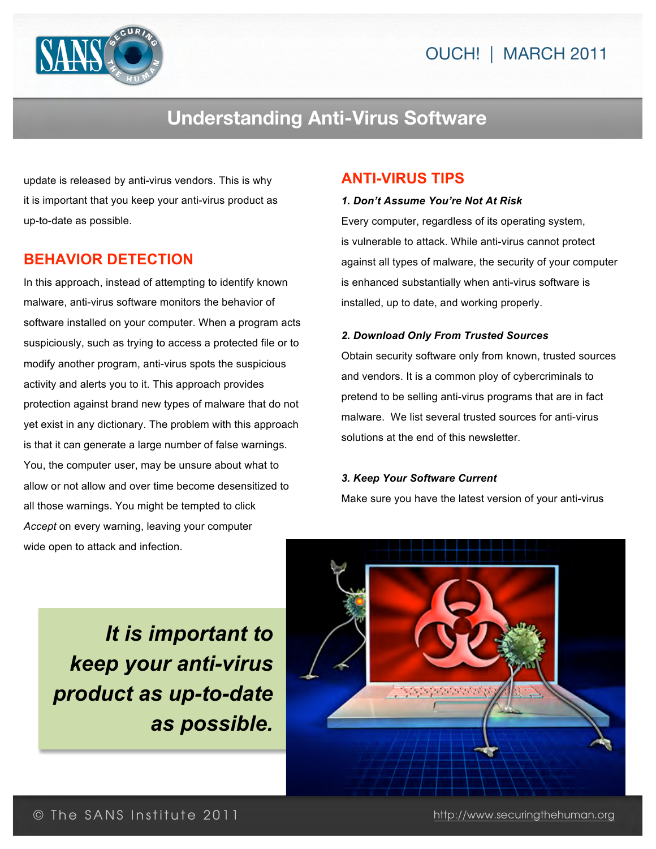



# **Understanding Anti-Virus Software**

update is released by anti-virus vendors. This is why it is important that you keep your anti-virus product as up-to-date as possible.

# **BEHAVIOR DETECTION**

In this approach, instead of attempting to identify known malware, anti-virus software monitors the behavior of software installed on your computer. When a program acts suspiciously, such as trying to access a protected file or to modify another program, anti-virus spots the suspicious activity and alerts you to it. This approach provides protection against brand new types of malware that do not yet exist in any dictionary. The problem with this approach is that it can generate a large number of false warnings. You, the computer user, may be unsure about what to allow or not allow and over time become desensitized to all those warnings. You might be tempted to click *Accept* on every warning, leaving your computer wide open to attack and infection.

### **ANTI-VIRUS TIPS**

#### *1. Don't Assume You're Not At Risk*

Every computer, regardless of its operating system, is vulnerable to attack. While anti-virus cannot protect against all types of malware, the security of your computer is enhanced substantially when anti-virus software is installed, up to date, and working properly.

#### *2. Download Only From Trusted Sources*

Obtain security software only from known, trusted sources and vendors. It is a common ploy of cybercriminals to pretend to be selling anti-virus programs that are in fact malware. We list several trusted sources for anti-virus solutions at the end of this newsletter.

#### *3. Keep Your Software Current*

Make sure you have the latest version of your anti-virus

*It is important to keep your anti-virus product as up-to-date as possible.*